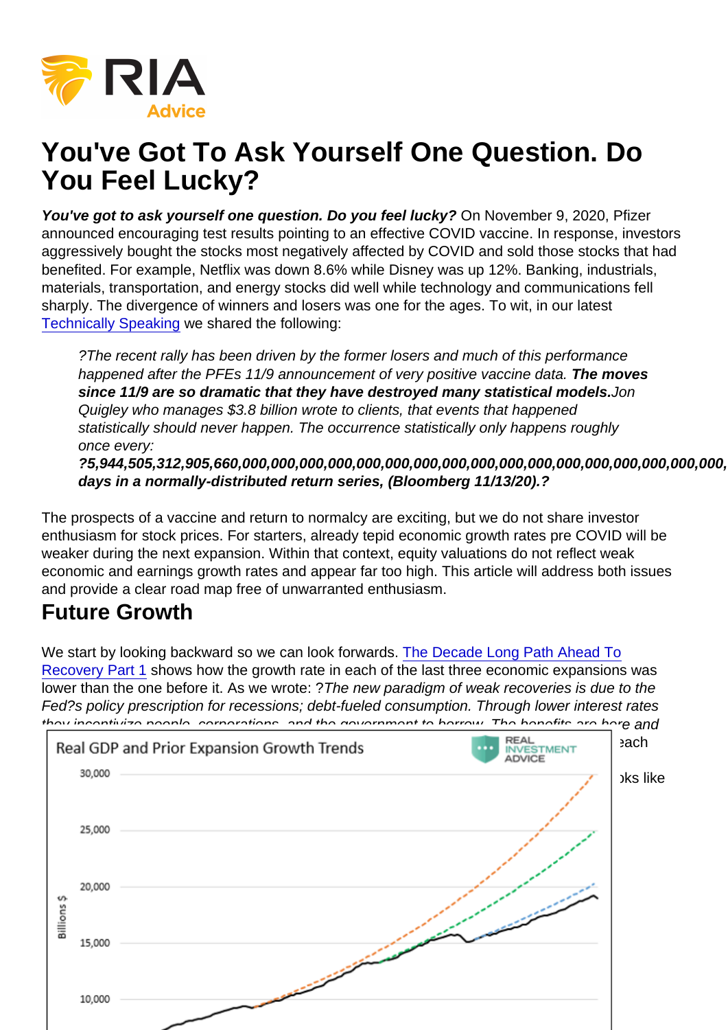# You've Got To Ask Yourself One Question. Do You Feel Lucky?

You've got to ask yourself one question. Do you feel lucky? On November 9, 2020, Pfizer announced encouraging test results pointing to an effective COVID vaccine. In response, investors aggressively bought the stocks most negatively affected by COVID and sold those stocks that had benefited. For example, Netflix was down 8.6% while Disney was up 12%. Banking, industrials, materials, transportation, and energy stocks did well while technology and communications fell sharply. The divergence of winners and losers was one for the ages. To wit, in our latest [Technically Speaking](https://realinvestmentadvice.com/technically-speaking-bulls-go-ballistic-time-to-reduce-risk/) we shared the following:

?The recent rally has been driven by the former losers and much of this performance happened after the PFEs 11/9 announcement of very positive vaccine data. The moves since 11/9 are so dramatic that they have destroyed many statistical models. Jon Quigley who manages \$3.8 billion wrote to clients, that events that happened statistically should never happen. The occurrence statistically only happens roughly once every:

?5,944,505,312,905,660,000,000,000,000,000,000,000,000,000,000,000,000,000,000,000,000,000,000,000,000,000 days in a normally-distributed return series, (Bloomberg 11/13/20).?

The prospects of a vaccine and return to normalcy are exciting, but we do not share investor enthusiasm for stock prices. For starters, already tepid economic growth rates pre COVID will be weaker during the next expansion. Within that context, equity valuations do not reflect weak economic and earnings growth rates and appear far too high. This article will address both issues and provide a clear road map free of unwarranted enthusiasm.

### Future Growth

We start by looking backward so we can look forwards. [The Decade Long Path Ahead To](https://realinvestmentadvice.com/the-decade-long-path-ahead-to-recovery-part-1-debt/) [Recovery Part 1](https://realinvestmentadvice.com/the-decade-long-path-ahead-to-recovery-part-1-debt/) shows how the growth rate in each of the last three economic expansions was lower than the one before it. As we wrote: ?The new paradigm of weak recoveries is due to the Fed?s policy prescription for recessions; debt-fueled consumption. Through lower interest rates they incentivize people, corporations, and the government to borrow. The benefits are here and [now as economic recovery ensues. The cost is paid tomorrow.? In simpler terms, during e](https://realinvestmentadvice.com/wp-content/uploads/2020/11/1-30.png)ach recession, we pull consumption forward from the future and accumulate debt in its place. Accordingly, future economic growth is weaker. In the same article, we show what that looks like over the last 40 years.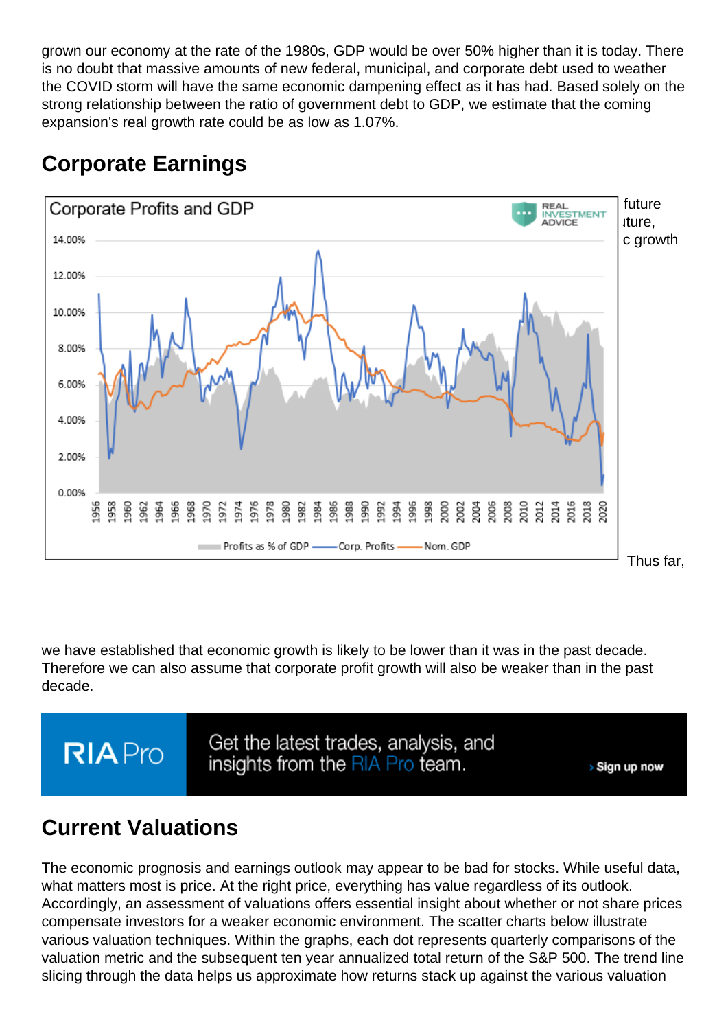grown our economy at the rate of the 1980s, GDP would be over 50% higher than it is today. There is no doubt that massive amounts of new federal, municipal, and corporate debt used to weather the COVID storm will have the same economic dampening effect as it has had. Based solely on the strong relationship between the ratio of government debt to GDP, we estimate that the coming expansion's real growth rate could be as low as 1.07%.

### Corporate Earnings

[Stock valuations are generally based on a multiple of expected future earnings. Expected](https://realinvestmentadvice.com/wp-content/uploads/2020/11/2-10.png) future earnings are determined by future economic activity. If economic growth is slower in the future, then logically, corporate profits will follow. As shown below, corporate profits and economic growth are well correlated.

Thus far,

we have established that economic growth is likely to be lower than it was in the past decade. Therefore we can also assume that corporate profit growth will also be weaker than in the past decade.

### Current Valuations

The economic prognosis and earnings outlook may appear to be bad for stocks. While useful data, what matters most is price. At the right price, everything has value regardless of its outlook. Accordingly, an assessment of valuations offers essential insight about whether or not share prices compensate investors for a weaker economic environment. The scatter charts below illustrate various valuation techniques. Within the graphs, each dot represents quarterly comparisons of the valuation metric and the subsequent ten year annualized total return of the S&P 500. The trend line slicing through the data helps us approximate how returns stack up against the various valuation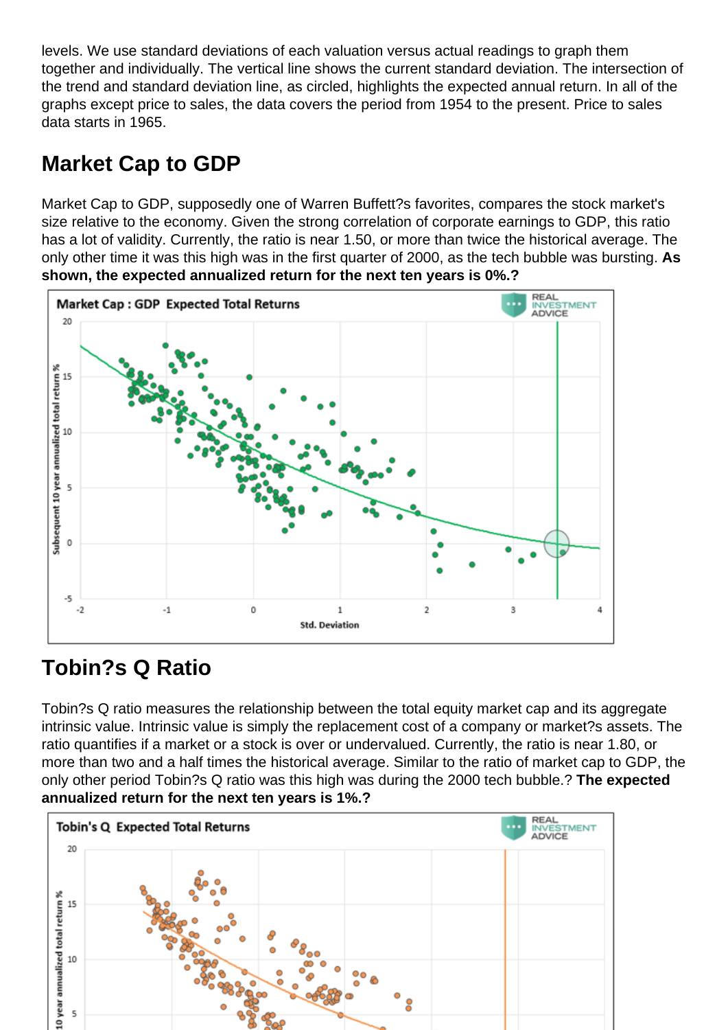levels. We use standard deviations of each valuation versus actual readings to graph them together and individually. The vertical line shows the current standard deviation. The intersection of the trend and standard deviation line, as circled, highlights the expected annual return. In all of the graphs except price to sales, the data covers the period from 1954 to the present. Price to sales data starts in 1965.

#### Market Cap to GDP

Market Cap to GDP, supposedly one of Warren Buffett?s favorites, compares the stock market's size relative to the economy. Given the strong correlation of corporate earnings to GDP, this ratio has a lot of validity. Currently, the ratio is near 1.50, or more than twice the historical average. The only other time it was this high was in the first quarter of 2000, as the tech bubble was bursting. As shown, the expected annualized return for the next ten years is 0%.?

### Tobin?s Q Ratio

Tobin?s Q ratio measures the relationship between the total equity market cap and its aggregate intrinsic value. Intrinsic value is simply the replacement cost of a company or market?s assets. The ratio quantifies if a market or a stock is over or undervalued. Currently, the ratio is near 1.80, or more than two and a half times the historical average. Similar to the ratio of market cap to GDP, the only other period Tobin?s Q ratio was this high was during the 2000 tech bubble.? The expected annualized return for the next ten years is 1%.?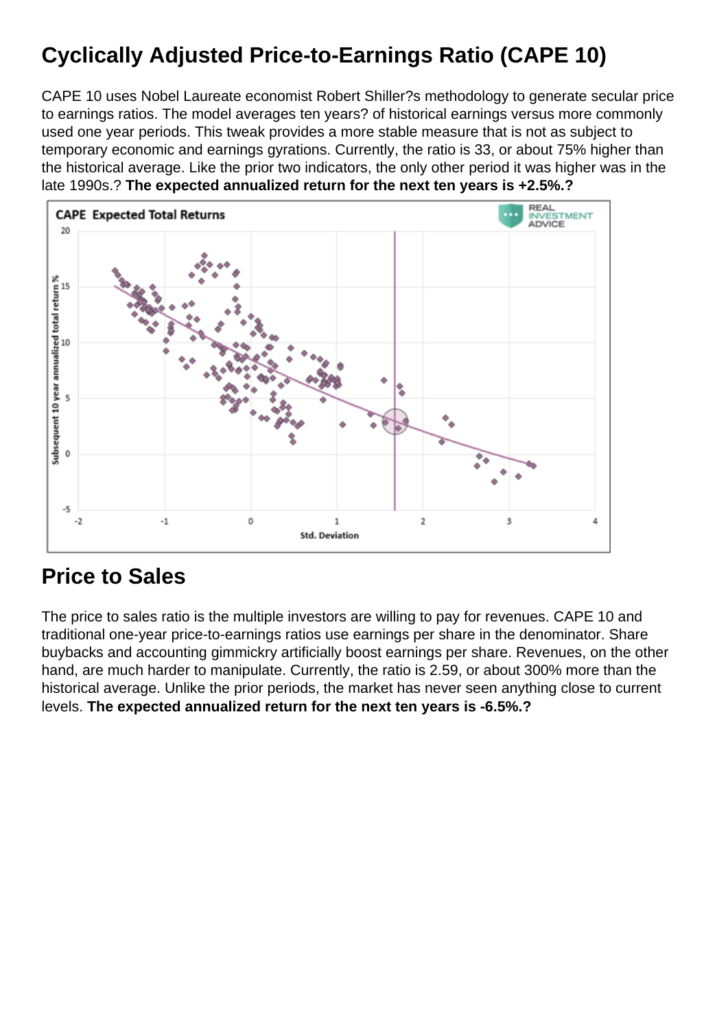# Cyclically Adjusted Price-to-Earnings Ratio (CAPE 10)

CAPE 10 uses Nobel Laureate economist Robert Shiller?s methodology to generate secular price to earnings ratios. The model averages ten years? of historical earnings versus more commonly used one year periods. This tweak provides a more stable measure that is not as subject to temporary economic and earnings gyrations. Currently, the ratio is 33, or about 75% higher than the historical average. Like the prior two indicators, the only other period it was higher was in the late 1990s.? The expected annualized return for the next ten years is +2.5%.?

#### Price to Sales

The price to sales ratio is the multiple investors are willing to pay for revenues. CAPE 10 and traditional one-year price-to-earnings ratios use earnings per share in the denominator. Share buybacks and accounting gimmickry artificially boost earnings per share. Revenues, on the other hand, are much harder to manipulate. Currently, the ratio is 2.59, or about 300% more than the historical average. Unlike the prior periods, the market has never seen anything close to current levels. The expected annualized return for the next ten years is -6.5%.?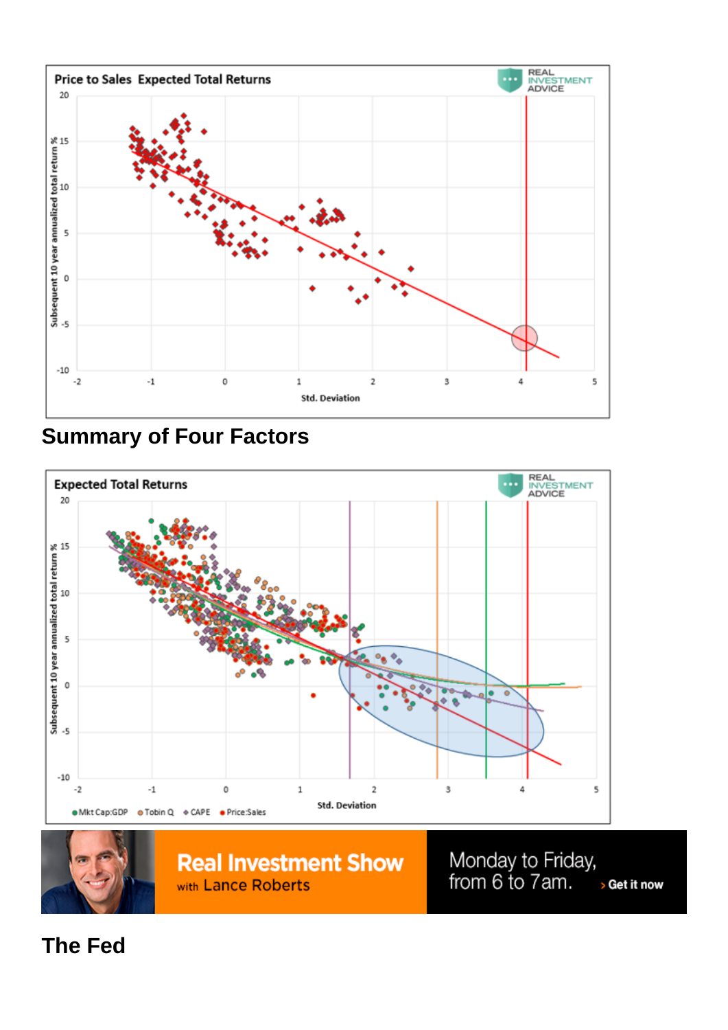Summary of Four Factors

The Fed